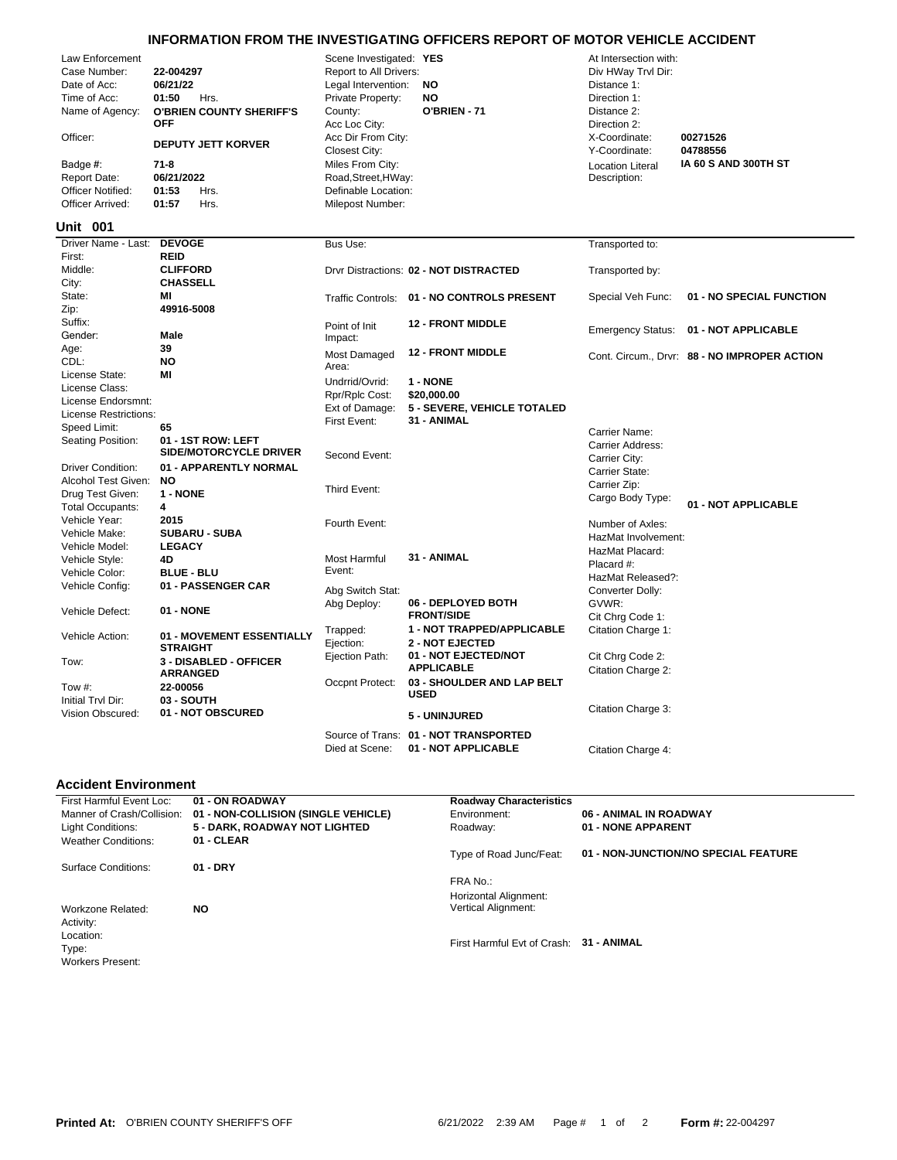## **INFORMATION FROM THE INVESTIGATING OFFICERS REPORT OF MOTOR VEHICLE ACCIDENT**

| Law Enforcement          |                                 | Scene Investigated: YES |                                            | At Intersection with:    |                                              |
|--------------------------|---------------------------------|-------------------------|--------------------------------------------|--------------------------|----------------------------------------------|
| Case Number:             | 22-004297                       | Report to All Drivers:  |                                            | Div HWay Trvl Dir:       |                                              |
| Date of Acc:             | 06/21/22                        | Legal Intervention:     | <b>NO</b>                                  | Distance 1:              |                                              |
| Time of Acc:             | 01:50<br>Hrs.                   | Private Property:       | <b>NO</b>                                  | Direction 1:             |                                              |
| Name of Agency:          | <b>O'BRIEN COUNTY SHERIFF'S</b> | County:                 | O'BRIEN - 71                               | Distance 2:              |                                              |
|                          | <b>OFF</b>                      | Acc Loc City:           |                                            | Direction 2:             |                                              |
| Officer:                 |                                 | Acc Dir From City:      |                                            | X-Coordinate:            | 00271526                                     |
|                          | <b>DEPUTY JETT KORVER</b>       | Closest City:           |                                            | Y-Coordinate:            | 04788556                                     |
| Badge #:                 | $71 - 8$                        | Miles From City:        |                                            | <b>Location Literal</b>  | IA 60 S AND 300TH ST                         |
| Report Date:             | 06/21/2022                      | Road, Street, HWay:     |                                            | Description:             |                                              |
| <b>Officer Notified:</b> | 01:53<br>Hrs.                   | Definable Location:     |                                            |                          |                                              |
| Officer Arrived:         | 01:57<br>Hrs.                   | Milepost Number:        |                                            |                          |                                              |
|                          |                                 |                         |                                            |                          |                                              |
| Unit 001                 |                                 |                         |                                            |                          |                                              |
| Driver Name - Last:      | <b>DEVOGE</b>                   | Bus Use:                |                                            | Transported to:          |                                              |
| First:                   | <b>REID</b>                     |                         |                                            |                          |                                              |
| Middle:                  | <b>CLIFFORD</b>                 |                         | Drvr Distractions: 02 - NOT DISTRACTED     | Transported by:          |                                              |
| City:                    | <b>CHASSELL</b>                 |                         |                                            |                          |                                              |
| State:                   | MI                              |                         | Traffic Controls: 01 - NO CONTROLS PRESENT | Special Veh Func:        | 01 - NO SPECIAL FUNCTION                     |
| Zip:                     | 49916-5008                      |                         |                                            |                          |                                              |
| Suffix:                  |                                 | Point of Init           | <b>12 - FRONT MIDDLE</b>                   | <b>Emergency Status:</b> | 01 - NOT APPLICABLE                          |
| Gender:                  | <b>Male</b>                     | Impact:                 |                                            |                          |                                              |
| Age:                     | 39                              | Most Damaged            | <b>12 - FRONT MIDDLE</b>                   |                          | Cont. Circum., Drvr: 88 - NO IMPROPER ACTION |
| CDL:                     | <b>NO</b>                       | Area:                   |                                            |                          |                                              |
| License State:           | MI                              | Undrrid/Ovrid:          | 1 - NONE                                   |                          |                                              |
| License Class:           |                                 | Rpr/Rplc Cost:          | \$20,000.00                                |                          |                                              |
| License Endorsmnt:       |                                 | Ext of Damage:          | <b>5 - SEVERE, VEHICLE TOTALED</b>         |                          |                                              |
| License Restrictions:    |                                 | First Event:            | 31 - ANIMAL                                |                          |                                              |
| Speed Limit:             | 65                              |                         |                                            | Carrier Name:            |                                              |
| Seating Position:        | 01 - 1ST ROW: LEFT              |                         |                                            | Carrier Address:         |                                              |
|                          | <b>SIDE/MOTORCYCLE DRIVER</b>   | Second Event:           |                                            | Carrier City:            |                                              |
| <b>Driver Condition:</b> | 01 - APPARENTLY NORMAL          |                         |                                            | Carrier State:           |                                              |
| Alcohol Test Given:      | <b>NO</b>                       |                         |                                            | Carrier Zip:             |                                              |
| Drug Test Given:         | 1 - NONE                        | Third Event:            |                                            | Cargo Body Type:         |                                              |
| <b>Total Occupants:</b>  | 4                               |                         |                                            |                          | 01 - NOT APPLICABLE                          |
| Vehicle Year:            | 2015                            | Fourth Event:           |                                            | Number of Axles:         |                                              |
| Vehicle Make:            | <b>SUBARU - SUBA</b>            |                         |                                            | HazMat Involvement:      |                                              |
| Vehicle Model:           | <b>LEGACY</b>                   |                         |                                            | HazMat Placard:          |                                              |
| Vehicle Style:           | 4D                              | Most Harmful            | 31 - ANIMAL                                | Placard #:               |                                              |
| Vehicle Color:           | <b>BLUE - BLU</b>               | Event:                  |                                            | HazMat Released?:        |                                              |
| Vehicle Config:          | 01 - PASSENGER CAR              | Abg Switch Stat:        |                                            | Converter Dolly:         |                                              |
|                          |                                 | Abg Deploy:             | 06 - DEPLOYED BOTH                         | GVWR:                    |                                              |
| Vehicle Defect:          | 01 - NONE                       |                         | <b>FRONT/SIDE</b>                          | Cit Chrg Code 1:         |                                              |
|                          |                                 | Trapped:                | 1 - NOT TRAPPED/APPLICABLE                 | Citation Charge 1:       |                                              |
| Vehicle Action:          | 01 - MOVEMENT ESSENTIALLY       | Ejection:               | <b>2 - NOT EJECTED</b>                     |                          |                                              |
|                          | <b>STRAIGHT</b>                 | Ejection Path:          | 01 - NOT EJECTED/NOT                       | Cit Chrg Code 2:         |                                              |
| Tow:                     | 3 - DISABLED - OFFICER          |                         | <b>APPLICABLE</b>                          |                          |                                              |
|                          | <b>ARRANGED</b>                 | Occpnt Protect:         | 03 - SHOULDER AND LAP BELT                 | Citation Charge 2:       |                                              |
| Tow $#$ :                | 22-00056                        |                         | <b>USED</b>                                |                          |                                              |
| Initial Trvl Dir:        | 03 - SOUTH                      |                         |                                            | Citation Charge 3:       |                                              |
| Vision Obscured:         | 01 - NOT OBSCURED               |                         | 5 - UNINJURED                              |                          |                                              |
|                          |                                 |                         | Source of Trans: 01 - NOT TRANSPORTED      |                          |                                              |

## **Accident Environment**

| First Harmful Event Loc:   | 01 - ON ROADWAY                      | <b>Roadway Characteristics</b> |                                      |
|----------------------------|--------------------------------------|--------------------------------|--------------------------------------|
| Manner of Crash/Collision: | 01 - NON-COLLISION (SINGLE VEHICLE)  | Environment:                   | 06 - ANIMAL IN ROADWAY               |
| Light Conditions:          | <b>5 - DARK, ROADWAY NOT LIGHTED</b> | Roadway:                       | 01 - NONE APPARENT                   |
| <b>Weather Conditions:</b> | 01 - CLEAR                           |                                |                                      |
|                            |                                      | Type of Road Junc/Feat:        | 01 - NON-JUNCTION/NO SPECIAL FEATURE |
| Surface Conditions:        | $01 - DRY$                           |                                |                                      |
|                            |                                      | FRA No.:                       |                                      |
|                            |                                      | Horizontal Alignment:          |                                      |
| Workzone Related:          | NO.                                  | Vertical Alignment:            |                                      |
| Activity:                  |                                      |                                |                                      |
| Location:                  |                                      |                                |                                      |
| Type:                      |                                      | First Harmful Evt of Crash:    | 31 - ANIMAL                          |
| <b>Workers Present:</b>    |                                      |                                |                                      |
|                            |                                      |                                |                                      |

Died at Scene: **01 - NOT APPLICABLE** Citation Charge 4: